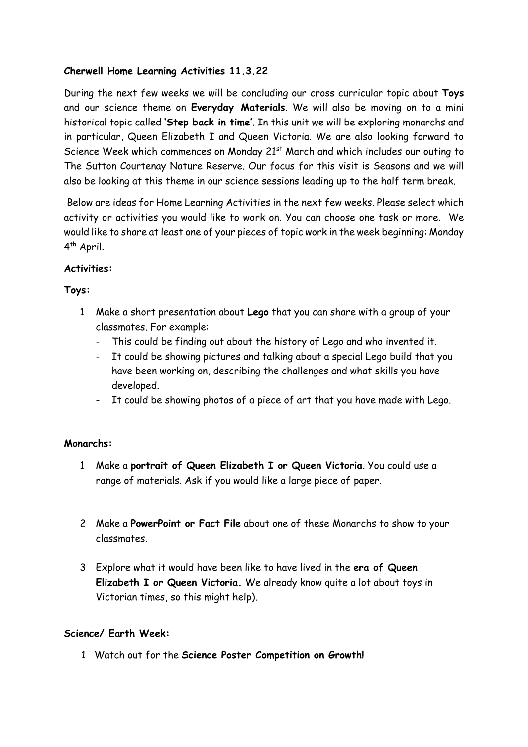# **Cherwell Home Learning Activities 11.3.22**

During the next few weeks we will be concluding our cross curricular topic about **Toys**  and our science theme on **Everyday Materials**. We will also be moving on to a mini historical topic called **'Step back in time'**. In this unit we will be exploring monarchs and in particular, Queen Elizabeth I and Queen Victoria. We are also looking forward to Science Week which commences on Monday 21<sup>st</sup> March and which includes our outing to The Sutton Courtenay Nature Reserve. Our focus for this visit is Seasons and we will also be looking at this theme in our science sessions leading up to the half term break.

Below are ideas for Home Learning Activities in the next few weeks. Please select which activity or activities you would like to work on. You can choose one task or more. We would like to share at least one of your pieces of topic work in the week beginning: Monday 4<sup>th</sup> April.

## **Activities:**

## **Toys:**

- 1 Make a short presentation about **Lego** that you can share with a group of your classmates. For example:
	- This could be finding out about the history of Lego and who invented it.
	- It could be showing pictures and talking about a special Lego build that you have been working on, describing the challenges and what skills you have developed.
	- It could be showing photos of a piece of art that you have made with Lego.

# **Monarchs:**

- 1 Make a **portrait of Queen Elizabeth I or Queen Victoria**. You could use a range of materials. Ask if you would like a large piece of paper.
- 2 Make a **PowerPoint or Fact File** about one of these Monarchs to show to your classmates.
- 3 Explore what it would have been like to have lived in the **era of Queen Elizabeth I or Queen Victoria.** We already know quite a lot about toys in Victorian times, so this might help).

#### **Science/ Earth Week:**

1 Watch out for the **Science Poster Competition on Growth!**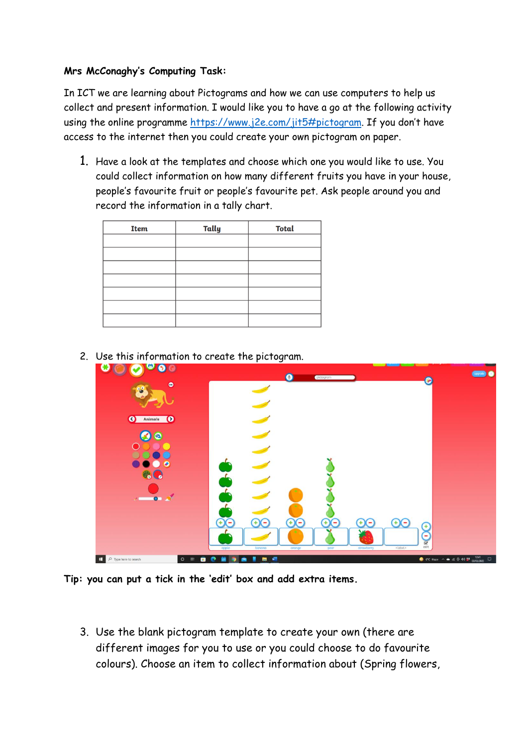## **Mrs McConaghy's Computing Task:**

In ICT we are learning about Pictograms and how we can use computers to help us collect and present information. I would like you to have a go at the following activity using the online programme<https://www.j2e.com/jit5#pictogram>. If you don't have access to the internet then you could create your own pictogram on paper.

1. Have a look at the templates and choose which one you would like to use. You could collect information on how many different fruits you have in your house, people's favourite fruit or people's favourite pet. Ask people around you and record the information in a tally chart.

| Item | Tally | <b>Total</b> |
|------|-------|--------------|
|      |       |              |
|      |       |              |
|      |       |              |
|      |       |              |
|      |       |              |
|      |       |              |
|      |       |              |

- ⊘ ...  $\bullet$ O C Animals O  $\Omega$  $\bigoplus$ P Type here to search  $0.88$
- 2. Use this information to create the pictogram.

**Tip: you can put a tick in the 'edit' box and add extra items.**

3. Use the blank pictogram template to create your own (there are different images for you to use or you could choose to do favourite colours). Choose an item to collect information about (Spring flowers,